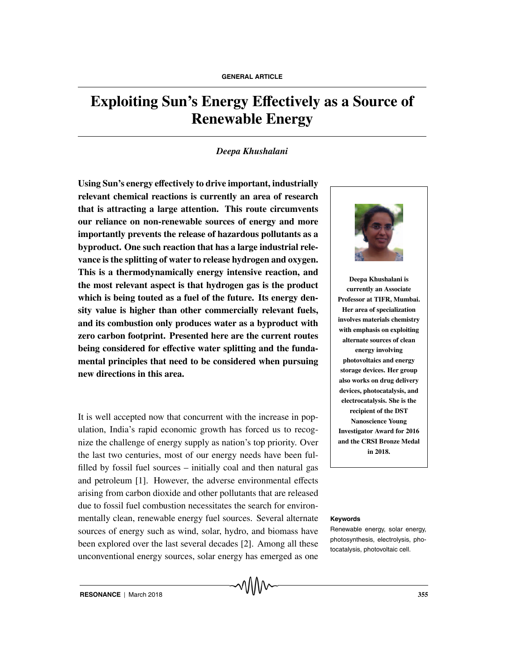# **Exploiting Sun's Energy E**ff**ectively as a Source of Renewable Energy**

### *Deepa Khushalani*

**Using Sun's energy e**ff**ectively to drive important, industrially relevant chemical reactions is currently an area of research that is attracting a large attention. This route circumvents our reliance on non-renewable sources of energy and more importantly prevents the release of hazardous pollutants as a byproduct. One such reaction that has a large industrial relevance is the splitting of water to release hydrogen and oxygen. This is a thermodynamically energy intensive reaction, and the most relevant aspect is that hydrogen gas is the product which is being touted as a fuel of the future. Its energy density value is higher than other commercially relevant fuels, and its combustion only produces water as a byproduct with zero carbon footprint. Presented here are the current routes being considered for e**ff**ective water splitting and the fundamental principles that need to be considered when pursuing new directions in this area.**

It is well accepted now that concurrent with the increase in population, India's rapid economic growth has forced us to recognize the challenge of energy supply as nation's top priority. Over the last two centuries, most of our energy needs have been fulfilled by fossil fuel sources – initially coal and then natural gas and petroleum [1]. However, the adverse environmental effects arising from carbon dioxide and other pollutants that are released due to fossil fuel combustion necessitates the search for environmentally clean, renewable energy fuel sources. Several alternate **Keywords** sources of energy such as wind, solar, hydro, and biomass have been explored over the last several decades [2]. Among all these unconventional energy sources, solar energy has emerged as one



**Deepa Khushalani is currently an Associate Professor at TIFR, Mumbai. Her area of specialization involves materials chemistry with emphasis on exploiting alternate sources of clean energy involving photovoltaics and energy storage devices. Her group also works on drug delivery devices, photocatalysis, and electrocatalysis. She is the recipient of the DST Nanoscience Young Investigator Award for 2016 and the CRSI Bronze Medal in 2018.**

Renewable energy, solar energy, photosynthesis, electrolysis, photocatalysis, photovoltaic cell.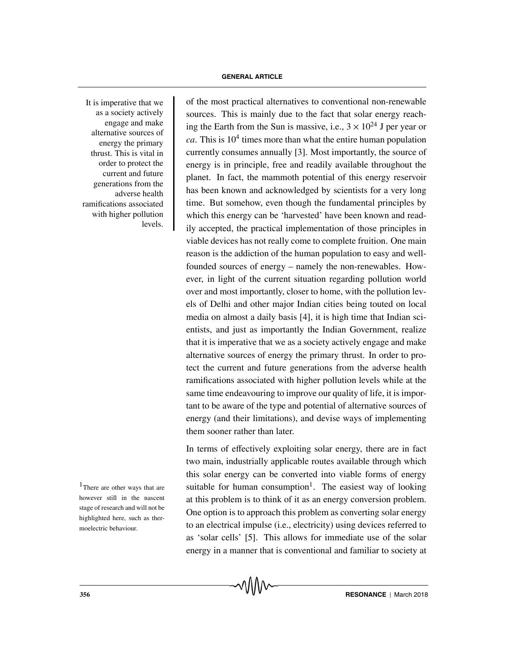as a society actively engage and make alternative sources of energy the primary thrust. This is vital in order to protect the current and future generations from the adverse health ramifications associated with higher pollution levels.

however still in the nascent stage of research and will not be highlighted here, such as thermoelectric behaviour.

It is imperative that we of the most practical alternatives to conventional non-renewable sources. This is mainly due to the fact that solar energy reaching the Earth from the Sun is massive, i.e.,  $3 \times 10^{24}$  J per year or  $ca$ . This is  $10<sup>4</sup>$  times more than what the entire human population currently consumes annually [3]. Most importantly, the source of energy is in principle, free and readily available throughout the planet. In fact, the mammoth potential of this energy reservoir has been known and acknowledged by scientists for a very long time. But somehow, even though the fundamental principles by which this energy can be 'harvested' have been known and readily accepted, the practical implementation of those principles in viable devices has not really come to complete fruition. One main reason is the addiction of the human population to easy and wellfounded sources of energy – namely the non-renewables. However, in light of the current situation regarding pollution world over and most importantly, closer to home, with the pollution levels of Delhi and other major Indian cities being touted on local media on almost a daily basis [4], it is high time that Indian scientists, and just as importantly the Indian Government, realize that it is imperative that we as a society actively engage and make alternative sources of energy the primary thrust. In order to protect the current and future generations from the adverse health ramifications associated with higher pollution levels while at the same time endeavouring to improve our quality of life, it is important to be aware of the type and potential of alternative sources of energy (and their limitations), and devise ways of implementing them sooner rather than later.

In terms of effectively exploiting solar energy, there are in fact two main, industrially applicable routes available through which this solar energy can be converted into viable forms of energy <sup>1</sup>There are other ways that are **Suitable for human consumption**<sup>1</sup>. The easiest way of looking at this problem is to think of it as an energy conversion problem. One option is to approach this problem as converting solar energy to an electrical impulse (i.e., electricity) using devices referred to as 'solar cells' [5]. This allows for immediate use of the solar energy in a manner that is conventional and familiar to society at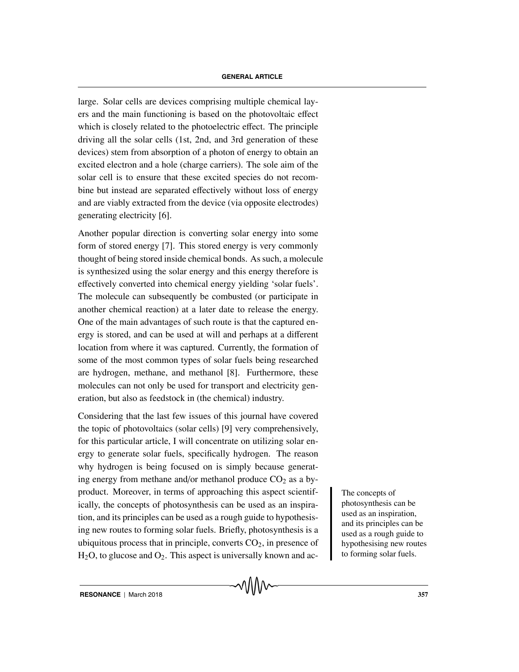large. Solar cells are devices comprising multiple chemical layers and the main functioning is based on the photovoltaic effect which is closely related to the photoelectric effect. The principle driving all the solar cells (1st, 2nd, and 3rd generation of these devices) stem from absorption of a photon of energy to obtain an excited electron and a hole (charge carriers). The sole aim of the solar cell is to ensure that these excited species do not recombine but instead are separated effectively without loss of energy and are viably extracted from the device (via opposite electrodes) generating electricity [6].

Another popular direction is converting solar energy into some form of stored energy [7]. This stored energy is very commonly thought of being stored inside chemical bonds. As such, a molecule is synthesized using the solar energy and this energy therefore is effectively converted into chemical energy yielding 'solar fuels'. The molecule can subsequently be combusted (or participate in another chemical reaction) at a later date to release the energy. One of the main advantages of such route is that the captured energy is stored, and can be used at will and perhaps at a different location from where it was captured. Currently, the formation of some of the most common types of solar fuels being researched are hydrogen, methane, and methanol [8]. Furthermore, these molecules can not only be used for transport and electricity generation, but also as feedstock in (the chemical) industry.

Considering that the last few issues of this journal have covered the topic of photovoltaics (solar cells) [9] very comprehensively, for this particular article, I will concentrate on utilizing solar energy to generate solar fuels, specifically hydrogen. The reason why hydrogen is being focused on is simply because generating energy from methane and/or methanol produce  $CO<sub>2</sub>$  as a byproduct. Moreover, in terms of approaching this aspect scientif-<br>
The concepts of ically, the concepts of photosynthesis can be used as an inspiration, and its principles can be used as a rough guide to hypothesising new routes to forming solar fuels. Briefly, photosynthesis is a ubiquitous process that in principle, converts  $CO<sub>2</sub>$ , in presence of  $H<sub>2</sub>O$ , to glucose and  $O<sub>2</sub>$ . This aspect is universally known and ac-

photosynthesis can be used as an inspiration, and its principles can be used as a rough guide to hypothesising new routes to forming solar fuels.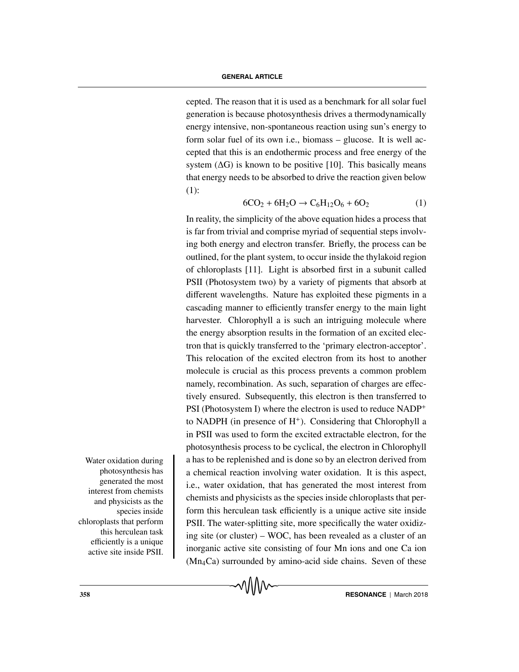cepted. The reason that it is used as a benchmark for all solar fuel generation is because photosynthesis drives a thermodynamically energy intensive, non-spontaneous reaction using sun's energy to form solar fuel of its own i.e., biomass – glucose. It is well accepted that this is an endothermic process and free energy of the system  $( \Delta G )$  is known to be positive [10]. This basically means that energy needs to be absorbed to drive the reaction given below (1):

$$
6CO_2 + 6H_2O \to C_6H_{12}O_6 + 6O_2 \tag{1}
$$

In reality, the simplicity of the above equation hides a process that is far from trivial and comprise myriad of sequential steps involving both energy and electron transfer. Briefly, the process can be outlined, for the plant system, to occur inside the thylakoid region of chloroplasts [11]. Light is absorbed first in a subunit called PSII (Photosystem two) by a variety of pigments that absorb at different wavelengths. Nature has exploited these pigments in a cascading manner to efficiently transfer energy to the main light harvester. Chlorophyll a is such an intriguing molecule where the energy absorption results in the formation of an excited electron that is quickly transferred to the 'primary electron-acceptor'. This relocation of the excited electron from its host to another molecule is crucial as this process prevents a common problem namely, recombination. As such, separation of charges are effectively ensured. Subsequently, this electron is then transferred to PSI (Photosystem I) where the electron is used to reduce NADP<sup>+</sup> to NADPH (in presence of  $H^+$ ). Considering that Chlorophyll a in PSII was used to form the excited extractable electron, for the photosynthesis process to be cyclical, the electron in Chlorophyll a has to be replenished and is done so by an electron derived from a chemical reaction involving water oxidation. It is this aspect, i.e., water oxidation, that has generated the most interest from chemists and physicists as the species inside chloroplasts that perform this herculean task efficiently is a unique active site inside PSII. The water-splitting site, more specifically the water oxidizing site (or cluster) – WOC, has been revealed as a cluster of an inorganic active site consisting of four Mn ions and one Ca ion (Mn4Ca) surrounded by amino-acid side chains. Seven of these

Water oxidation during photosynthesis has generated the most interest from chemists and physicists as the species inside chloroplasts that perform this herculean task efficiently is a unique active site inside PSII.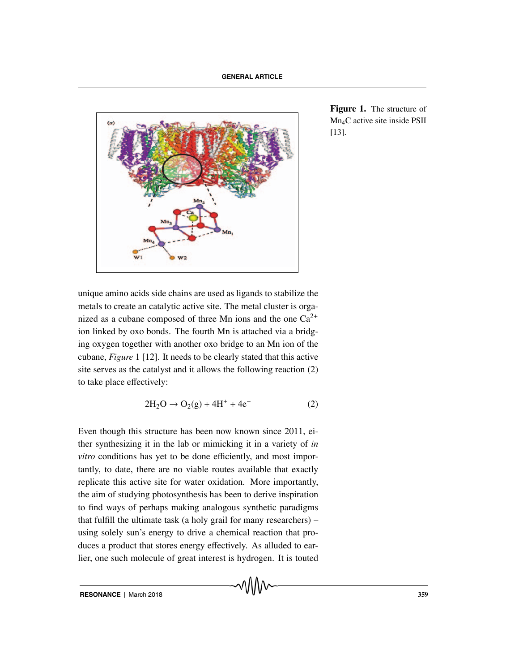

**Figure 1.** The structure of Mn4C active site inside PSII [13].

unique amino acids side chains are used as ligands to stabilize the metals to create an catalytic active site. The metal cluster is organized as a cubane composed of three Mn ions and the one  $Ca^{2+}$ ion linked by oxo bonds. The fourth Mn is attached via a bridging oxygen together with another oxo bridge to an Mn ion of the cubane, *Figure* 1 [12]. It needs to be clearly stated that this active site serves as the catalyst and it allows the following reaction (2) to take place effectively:

$$
2H_2O \to O_2(g) + 4H^+ + 4e^-
$$
 (2)

Even though this structure has been now known since 2011, either synthesizing it in the lab or mimicking it in a variety of *in vitro* conditions has yet to be done efficiently, and most importantly, to date, there are no viable routes available that exactly replicate this active site for water oxidation. More importantly, the aim of studying photosynthesis has been to derive inspiration to find ways of perhaps making analogous synthetic paradigms that fulfill the ultimate task (a holy grail for many researchers) – using solely sun's energy to drive a chemical reaction that produces a product that stores energy effectively. As alluded to earlier, one such molecule of great interest is hydrogen. It is touted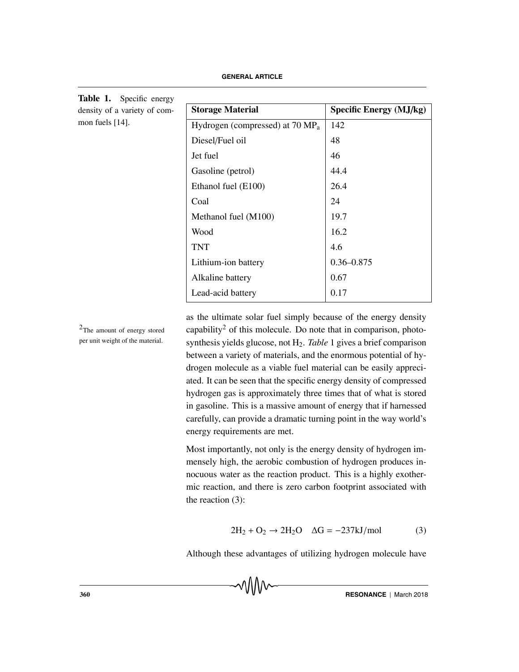| <b>Storage Material</b>                    | Specific Energy (MJ/kg) |
|--------------------------------------------|-------------------------|
| Hydrogen (compressed) at $70 \text{ MP}_a$ | 142                     |
| Diesel/Fuel oil                            | 48                      |
| Jet fuel                                   | 46                      |
| Gasoline (petrol)                          | 44.4                    |
| Ethanol fuel (E100)                        | 26.4                    |
| Coal                                       | 24                      |
| Methanol fuel (M100)                       | 19.7                    |
| Wood                                       | 16.2                    |
| TNT                                        | 4.6                     |
| Lithium-ion battery                        | $0.36 - 0.875$          |
| Alkaline battery                           | 0.67                    |
| Lead-acid battery                          | 0.17                    |

 $2$ The amount of energy stored per unit weight of the material.

Table 1. Specific energy density of a variety of com-

mon fuels [14].

as the ultimate solar fuel simply because of the energy density capability<sup>2</sup> of this molecule. Do note that in comparison, photosynthesis yields glucose, not H<sub>2</sub>. *Table* 1 gives a brief comparison between a variety of materials, and the enormous potential of hydrogen molecule as a viable fuel material can be easily appreciated. It can be seen that the specific energy density of compressed hydrogen gas is approximately three times that of what is stored in gasoline. This is a massive amount of energy that if harnessed carefully, can provide a dramatic turning point in the way world's energy requirements are met.

Most importantly, not only is the energy density of hydrogen immensely high, the aerobic combustion of hydrogen produces innocuous water as the reaction product. This is a highly exothermic reaction, and there is zero carbon footprint associated with the reaction (3):

$$
2H_2 + O_2 \rightarrow 2H_2O \quad \Delta G = -237kJ/mol \tag{3}
$$

Although these advantages of utilizing hydrogen molecule have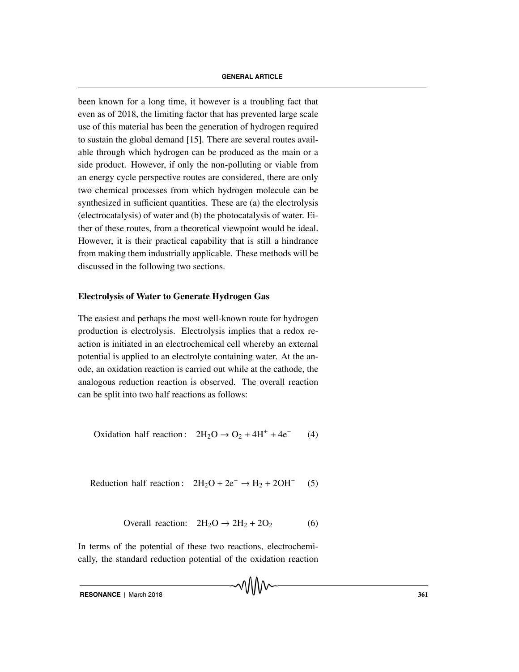been known for a long time, it however is a troubling fact that even as of 2018, the limiting factor that has prevented large scale use of this material has been the generation of hydrogen required to sustain the global demand [15]. There are several routes available through which hydrogen can be produced as the main or a side product. However, if only the non-polluting or viable from an energy cycle perspective routes are considered, there are only two chemical processes from which hydrogen molecule can be synthesized in sufficient quantities. These are (a) the electrolysis (electrocatalysis) of water and (b) the photocatalysis of water. Either of these routes, from a theoretical viewpoint would be ideal. However, it is their practical capability that is still a hindrance from making them industrially applicable. These methods will be discussed in the following two sections.

### **Electrolysis of Water to Generate Hydrogen Gas**

The easiest and perhaps the most well-known route for hydrogen production is electrolysis. Electrolysis implies that a redox reaction is initiated in an electrochemical cell whereby an external potential is applied to an electrolyte containing water. At the anode, an oxidation reaction is carried out while at the cathode, the analogous reduction reaction is observed. The overall reaction can be split into two half reactions as follows:

Oxidation half reaction: 
$$
2H_2O \rightarrow O_2 + 4H^+ + 4e^-
$$
 (4)

Reduction half reaction: 
$$
2H_2O + 2e^- \rightarrow H_2 + 2OH^-
$$
 (5)

Overall reaction: 
$$
2H_2O \rightarrow 2H_2 + 2O_2
$$
 (6)

In terms of the potential of these two reactions, electrochemically, the standard reduction potential of the oxidation reaction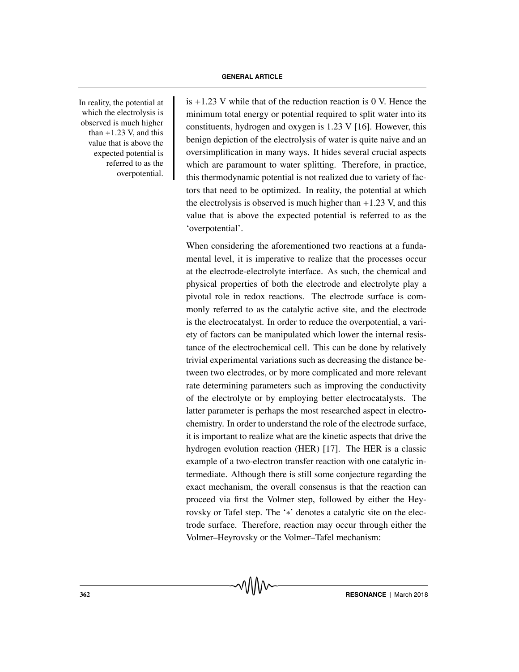which the electrolysis is observed is much higher than  $+1.23$  V, and this value that is above the expected potential is referred to as the overpotential.

In reality, the potential at  $\begin{bmatrix} \text{is } +1.23 \text{ V} \text{ while that of the reduction reaction is } 0 \text{ V. Hence the} \end{bmatrix}$ minimum total energy or potential required to split water into its constituents, hydrogen and oxygen is 1.23 V [16]. However, this benign depiction of the electrolysis of water is quite naive and an oversimplification in many ways. It hides several crucial aspects which are paramount to water splitting. Therefore, in practice, this thermodynamic potential is not realized due to variety of factors that need to be optimized. In reality, the potential at which the electrolysis is observed is much higher than  $+1.23$  V, and this value that is above the expected potential is referred to as the 'overpotential'.

> When considering the aforementioned two reactions at a fundamental level, it is imperative to realize that the processes occur at the electrode-electrolyte interface. As such, the chemical and physical properties of both the electrode and electrolyte play a pivotal role in redox reactions. The electrode surface is commonly referred to as the catalytic active site, and the electrode is the electrocatalyst. In order to reduce the overpotential, a variety of factors can be manipulated which lower the internal resistance of the electrochemical cell. This can be done by relatively trivial experimental variations such as decreasing the distance between two electrodes, or by more complicated and more relevant rate determining parameters such as improving the conductivity of the electrolyte or by employing better electrocatalysts. The latter parameter is perhaps the most researched aspect in electrochemistry. In order to understand the role of the electrode surface, it is important to realize what are the kinetic aspects that drive the hydrogen evolution reaction (HER) [17]. The HER is a classic example of a two-electron transfer reaction with one catalytic intermediate. Although there is still some conjecture regarding the exact mechanism, the overall consensus is that the reaction can proceed via first the Volmer step, followed by either the Heyrovsky or Tafel step. The '∗' denotes a catalytic site on the electrode surface. Therefore, reaction may occur through either the Volmer–Heyrovsky or the Volmer–Tafel mechanism: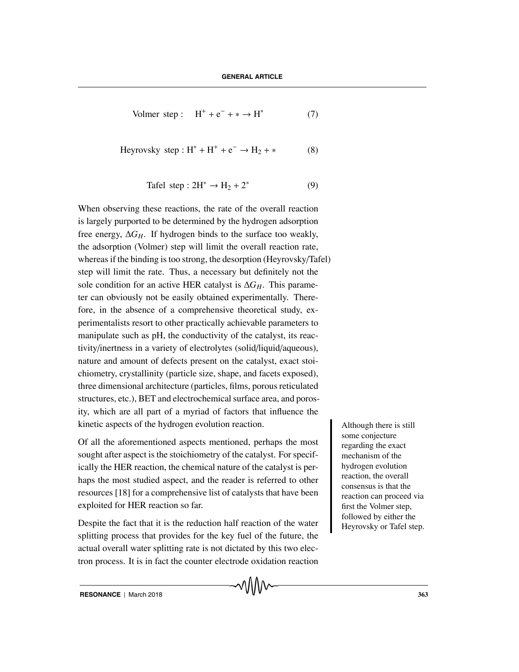$$
Volume step: H+ + e- + * \rightarrow H*
$$
 (7)

$$
Heyrovsky step : H^* + H^+ + e^- \rightarrow H_2 + *
$$
 (8)

$$
Tafel step: 2H^* \to H_2 + 2^* \tag{9}
$$

When observing these reactions, the rate of the overall reaction is largely purported to be determined by the hydrogen adsorption free energy,  $\Delta G_H$ . If hydrogen binds to the surface too weakly, the adsorption (Volmer) step will limit the overall reaction rate, whereas if the binding is too strong, the desorption (Heyrovsky/Tafel) step will limit the rate. Thus, a necessary but definitely not the sole condition for an active HER catalyst is  $\Delta G_H$ . This parameter can obviously not be easily obtained experimentally. Therefore, in the absence of a comprehensive theoretical study, experimentalists resort to other practically achievable parameters to manipulate such as pH, the conductivity of the catalyst, its reactivity/inertness in a variety of electrolytes (solid/liquid/aqueous), nature and amount of defects present on the catalyst, exact stoichiometry, crystallinity (particle size, shape, and facets exposed), three dimensional architecture (particles, films, porous reticulated structures, etc.), BET and electrochemical surface area, and porosity, which are all part of a myriad of factors that influence the kinetic aspects of the hydrogen evolution reaction. Although there is still

Of all the aforementioned aspects mentioned, perhaps the most sought after aspect is the stoichiometry of the catalyst. For specifically the HER reaction, the chemical nature of the catalyst is perhaps the most studied aspect, and the reader is referred to other resources [18] for a comprehensive list of catalysts that have been exploited for HER reaction so far.

Despite the fact that it is the reduction half reaction of the water splitting process that provides for the key fuel of the future, the actual overall water splitting rate is not dictated by this two electron process. It is in fact the counter electrode oxidation reaction

some conjecture regarding the exact mechanism of the hydrogen evolution reaction, the overall consensus is that the reaction can proceed via first the Volmer step, followed by either the Heyrovsky or Tafel step.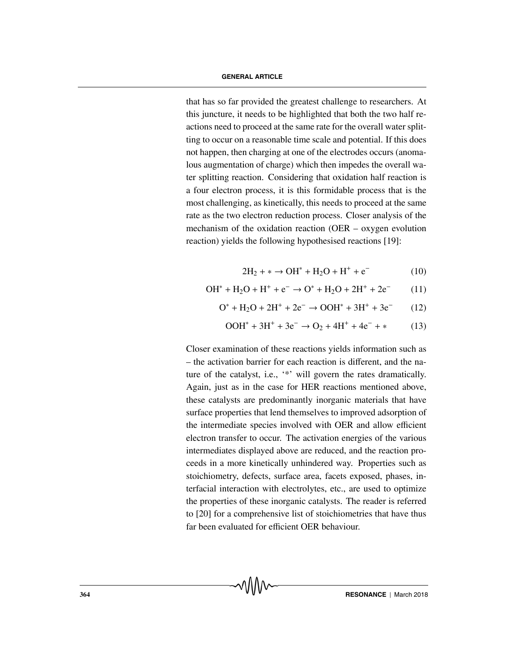that has so far provided the greatest challenge to researchers. At this juncture, it needs to be highlighted that both the two half reactions need to proceed at the same rate for the overall water splitting to occur on a reasonable time scale and potential. If this does not happen, then charging at one of the electrodes occurs (anomalous augmentation of charge) which then impedes the overall water splitting reaction. Considering that oxidation half reaction is a four electron process, it is this formidable process that is the most challenging, as kinetically, this needs to proceed at the same rate as the two electron reduction process. Closer analysis of the mechanism of the oxidation reaction (OER – oxygen evolution reaction) yields the following hypothesised reactions [19]:

$$
2H_2 + * \to OH^* + H_2O + H^* + e^-
$$
 (10)

$$
OH^* + H_2O + H^+ + e^- \rightarrow O^* + H_2O + 2H^+ + 2e^-
$$
 (11)

$$
O^* + H_2O + 2H^+ + 2e^- \rightarrow OOH^* + 3H^+ + 3e^-
$$
 (12)

 $OOH^* + 3H^+ + 3e^- \rightarrow O_2 + 4H^+ + 4e^- +$  \* (13)

Closer examination of these reactions yields information such as – the activation barrier for each reaction is different, and the nature of the catalyst, i.e., '\*' will govern the rates dramatically. Again, just as in the case for HER reactions mentioned above, these catalysts are predominantly inorganic materials that have surface properties that lend themselves to improved adsorption of the intermediate species involved with OER and allow efficient electron transfer to occur. The activation energies of the various intermediates displayed above are reduced, and the reaction proceeds in a more kinetically unhindered way. Properties such as stoichiometry, defects, surface area, facets exposed, phases, interfacial interaction with electrolytes, etc., are used to optimize the properties of these inorganic catalysts. The reader is referred to [20] for a comprehensive list of stoichiometries that have thus far been evaluated for efficient OER behaviour.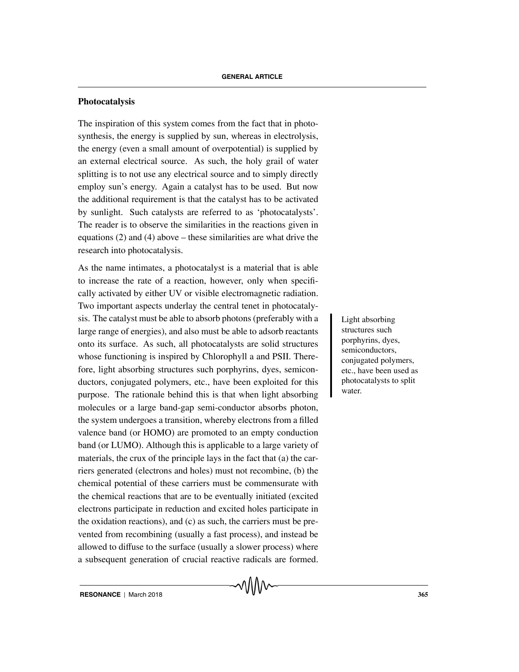#### **Photocatalysis**

The inspiration of this system comes from the fact that in photosynthesis, the energy is supplied by sun, whereas in electrolysis, the energy (even a small amount of overpotential) is supplied by an external electrical source. As such, the holy grail of water splitting is to not use any electrical source and to simply directly employ sun's energy. Again a catalyst has to be used. But now the additional requirement is that the catalyst has to be activated by sunlight. Such catalysts are referred to as 'photocatalysts'. The reader is to observe the similarities in the reactions given in equations (2) and (4) above – these similarities are what drive the research into photocatalysis.

As the name intimates, a photocatalyst is a material that is able to increase the rate of a reaction, however, only when specifically activated by either UV or visible electromagnetic radiation. Two important aspects underlay the central tenet in photocatalysis. The catalyst must be able to absorb photons (preferably with a Light absorbing large range of energies), and also must be able to adsorb reactants onto its surface. As such, all photocatalysts are solid structures whose functioning is inspired by Chlorophyll a and PSII. Therefore, light absorbing structures such porphyrins, dyes, semiconductors, conjugated polymers, etc., have been exploited for this purpose. The rationale behind this is that when light absorbing molecules or a large band-gap semi-conductor absorbs photon, the system undergoes a transition, whereby electrons from a filled valence band (or HOMO) are promoted to an empty conduction band (or LUMO). Although this is applicable to a large variety of materials, the crux of the principle lays in the fact that (a) the carriers generated (electrons and holes) must not recombine, (b) the chemical potential of these carriers must be commensurate with the chemical reactions that are to be eventually initiated (excited electrons participate in reduction and excited holes participate in the oxidation reactions), and (c) as such, the carriers must be prevented from recombining (usually a fast process), and instead be allowed to diffuse to the surface (usually a slower process) where a subsequent generation of crucial reactive radicals are formed.

structures such porphyrins, dyes, semiconductors, conjugated polymers, etc., have been used as photocatalysts to split water.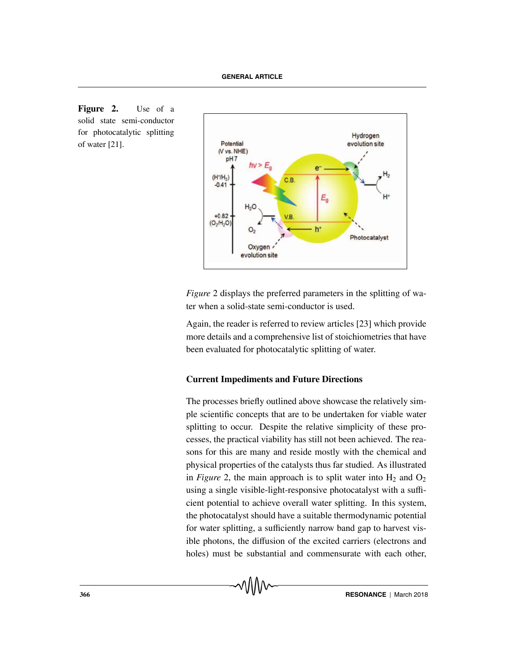**Figure 2.** Use of a solid state semi-conductor for photocatalytic splitting of water [21].



*Figure* 2 displays the preferred parameters in the splitting of water when a solid-state semi-conductor is used.

Again, the reader is referred to review articles [23] which provide more details and a comprehensive list of stoichiometries that have been evaluated for photocatalytic splitting of water.

## **Current Impediments and Future Directions**

The processes briefly outlined above showcase the relatively simple scientific concepts that are to be undertaken for viable water splitting to occur. Despite the relative simplicity of these processes, the practical viability has still not been achieved. The reasons for this are many and reside mostly with the chemical and physical properties of the catalysts thus far studied. As illustrated in *Figure* 2, the main approach is to split water into  $H_2$  and  $O_2$ using a single visible-light-responsive photocatalyst with a sufficient potential to achieve overall water splitting. In this system, the photocatalyst should have a suitable thermodynamic potential for water splitting, a sufficiently narrow band gap to harvest visible photons, the diffusion of the excited carriers (electrons and holes) must be substantial and commensurate with each other,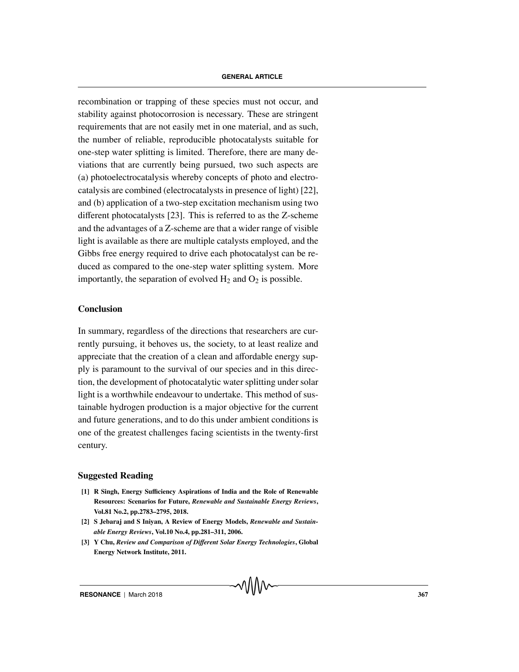recombination or trapping of these species must not occur, and stability against photocorrosion is necessary. These are stringent requirements that are not easily met in one material, and as such, the number of reliable, reproducible photocatalysts suitable for one-step water splitting is limited. Therefore, there are many deviations that are currently being pursued, two such aspects are (a) photoelectrocatalysis whereby concepts of photo and electrocatalysis are combined (electrocatalysts in presence of light) [22], and (b) application of a two-step excitation mechanism using two different photocatalysts [23]. This is referred to as the Z-scheme and the advantages of a Z-scheme are that a wider range of visible light is available as there are multiple catalysts employed, and the Gibbs free energy required to drive each photocatalyst can be reduced as compared to the one-step water splitting system. More importantly, the separation of evolved  $H_2$  and  $O_2$  is possible.

#### **Conclusion**

In summary, regardless of the directions that researchers are currently pursuing, it behoves us, the society, to at least realize and appreciate that the creation of a clean and affordable energy supply is paramount to the survival of our species and in this direction, the development of photocatalytic water splitting under solar light is a worthwhile endeavour to undertake. This method of sustainable hydrogen production is a major objective for the current and future generations, and to do this under ambient conditions is one of the greatest challenges facing scientists in the twenty-first century.

#### **Suggested Reading**

- **[1] R Singh, Energy Su**ffi**ciency Aspirations of India and the Role of Renewable Resources: Scenarios for Future,** *Renewable and Sustainable Energy Reviews***, Vol.81 No.2, pp.2783–2795, 2018.**
- **[2] S Jebaraj and S Iniyan, A Review of Energy Models,** *Renewable and Sustainable Energy Reviews***, Vol.10 No.4, pp.281–311, 2006.**
- **[3] Y Chu,** *Review and Comparison of Di*ff*erent Solar Energy Technologies***, Global Energy Network Institute, 2011.**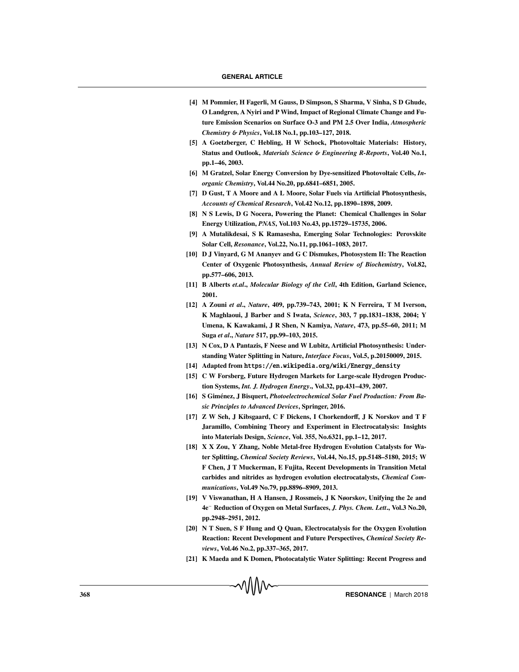- **[4] M Pommier, H Fagerli, M Gauss, D Simpson, S Sharma, V Sinha, S D Ghude, O Landgren, A Nyiri and P Wind, Impact of Regional Climate Change and Future Emission Scenarios on Surface O-3 and PM 2.5 Over India,** *Atmospheric Chemistry* & *Physics***, Vol.18 No.1, pp.103–127, 2018.**
- **[5] A Goetzberger, C Hebling, H W Schock, Photovoltaic Materials: History, Status and Outlook,** *Materials Science* & *Engineering R-Reports***, Vol.40 No.1, pp.1–46, 2003.**
- **[6] M Gratzel, Solar Energy Conversion by Dye-sensitized Photovoltaic Cells,** *Inorganic Chemistry***, Vol.44 No.20, pp.6841–6851, 2005.**
- **[7] D Gust, T A Moore and A L Moore, Solar Fuels via Artificial Photosynthesis,** *Accounts of Chemical Research***, Vol.42 No.12, pp.1890–1898, 2009.**
- **[8] N S Lewis, D G Nocera, Powering the Planet: Chemical Challenges in Solar Energy Utilization,** *PNAS***, Vol.103 No.43, pp.15729–15735, 2006.**
- **[9] A Mutalikdesai, S K Ramasesha, Emerging Solar Technologies: Perovskite Solar Cell,** *Resonance***, Vol.22, No.11, pp.1061–1083, 2017.**
- **[10] D J Vinyard, G M Ananyev and G C Dismukes, Photosystem II: The Reaction Center of Oxygenic Photosynthesis,** *Annual Review of Biochemistry***, Vol.82, pp.577–606, 2013.**
- **[11] B Alberts** *et.al***.,** *Molecular Biology of the Cell***, 4th Edition, Garland Science, 2001.**
- **[12] A Zouni** *et al***.,** *Nature***, 409, pp.739–743, 2001; K N Ferreira, T M Iverson, K Maghlaoui, J Barber and S Iwata,** *Science***, 303, 7 pp.1831–1838, 2004; Y Umena, K Kawakami, J R Shen, N Kamiya,** *Nature***, 473, pp.55–60, 2011; M Suga** *et al***.,** *Nature* **517, pp.99–103, 2015.**
- **[13] N Cox, D A Pantazis, F Neese and W Lubitz, Artificial Photosynthesis: Understanding Water Splitting in Nature,** *Interface Focus***, Vol.5, p.20150009, 2015.**
- **[14] Adapted from** https://en.wikipedia.org/wiki/Energy\_density
- **[15] C W Forsberg, Future Hydrogen Markets for Large-scale Hydrogen Production Systems,** *Int. J. Hydrogen Energy***., Vol.32, pp.431–439, 2007.**
- **[16] S Giménez, J Bisquert,** *Photoelectrochemical Solar Fuel Production: From Basic Principles to Advanced Devices***, Springer, 2016.**
- **[17] Z W Seh, J Kibsgaard, C F Dickens, I Chorkendor**ff**, J K Norskov and T F Jaramillo, Combining Theory and Experiment in Electrocatalysis: Insights into Materials Design,** *Science***, Vol. 355, No.6321, pp.1–12, 2017.**
- **[18] X X Zou, Y Zhang, Noble Metal-free Hydrogen Evolution Catalysts for Water Splitting,** *Chemical Society Reviews***, Vol.44, No.15, pp.5148–5180, 2015; W F Chen, J T Muckerman, E Fujita, Recent Developments in Transition Metal carbides and nitrides as hydrogen evolution electrocatalysts,** *Chemical Communications***, Vol.49 No.79, pp.8896–8909, 2013.**
- **[19] V Viswanathan, H A Hansen, J Rossmeis, J K Nøorskov, Unifying the 2e and 4e**− **Reduction of Oxygen on Metal Surfaces,** *J. Phys. Chem. Lett***., Vol.3 No.20, pp.2948–2951, 2012.**
- **[20] N T Suen, S F Hung and Q Quan, Electrocatalysis for the Oxygen Evolution Reaction: Recent Development and Future Perspectives,** *Chemical Society Reviews***, Vol.46 No.2, pp.337–365, 2017.**
- **[21] K Maeda and K Domen, Photocatalytic Water Splitting: Recent Progress and**